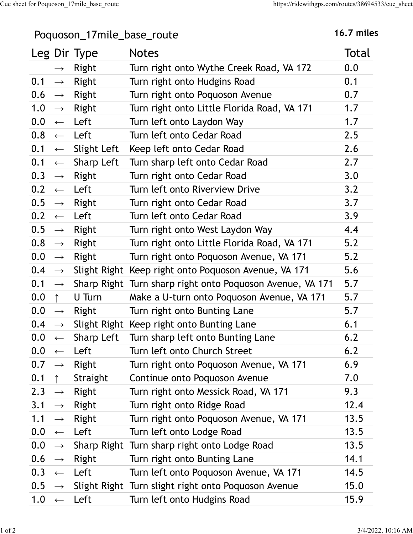## Poquoson\_17mile\_base\_route 16.7 miles

|                      |                   | Poquoson_17mile_base_route |                                                                             | 16.7 miles |
|----------------------|-------------------|----------------------------|-----------------------------------------------------------------------------|------------|
|                      |                   | Leg Dir Type               | <b>Notes</b>                                                                | Total      |
|                      | $\rightarrow$     | Right                      | Turn right onto Wythe Creek Road, VA 172                                    | 0.0        |
| 0.1                  | $\rightarrow$     | Right                      | Turn right onto Hudgins Road                                                | 0.1        |
| 0.6                  | $\longrightarrow$ | Right                      | Turn right onto Poquoson Avenue                                             | 0.7        |
| 1.0                  | $\longrightarrow$ | Right                      | Turn right onto Little Florida Road, VA 171                                 | 1.7        |
| 0.0                  | $\leftarrow$      | Left                       | Turn left onto Laydon Way                                                   | 1.7        |
| 0.8                  | $\leftarrow$      | Left                       | Turn left onto Cedar Road                                                   | 2.5        |
| 0.1                  | $\longleftarrow$  | Slight Left                | Keep left onto Cedar Road                                                   | 2.6        |
| 0.1                  | $\leftarrow$      | Sharp Left                 | Turn sharp left onto Cedar Road                                             | 2.7        |
| $0.3 \rightarrow$    |                   | Right                      | Turn right onto Cedar Road                                                  | 3.0        |
| $0.2 \leftarrow$     |                   | Left                       | Turn left onto Riverview Drive                                              | 3.2        |
| 0.5                  | $\longrightarrow$ | Right                      | Turn right onto Cedar Road                                                  | 3.7        |
| $0.2 \leftarrow$     |                   | Left                       | Turn left onto Cedar Road                                                   | 3.9        |
| 0.5                  |                   | $\rightarrow$ Right        | Turn right onto West Laydon Way                                             | 4.4        |
| $0.8 \rightarrow$    |                   | Right                      | Turn right onto Little Florida Road, VA 171                                 | 5.2        |
| $0.0 \rightarrow$    |                   | Right                      | Turn right onto Poquoson Avenue, VA 171                                     | 5.2        |
|                      |                   |                            | 0.4 $\rightarrow$ Slight Right Keep right onto Poquoson Avenue, VA 171      | 5.6        |
|                      |                   |                            | $0.1 \rightarrow$ Sharp Right Turn sharp right onto Poquoson Avenue, VA 171 | 5.7        |
| $0.0 \quad \uparrow$ |                   | U Turn                     | Make a U-turn onto Poquoson Avenue, VA 171                                  | 5.7        |
|                      |                   | $0.0 \rightarrow$ Right    | Turn right onto Bunting Lane                                                | 5.7        |
|                      |                   |                            | 0.4 $\rightarrow$ Slight Right Keep right onto Bunting Lane                 | 6.1        |
| $0.0 \leftarrow$     |                   |                            | Sharp Left Turn sharp left onto Bunting Lane                                | 6.2        |
|                      |                   | $0.0 \leftarrow$ Left      | Turn left onto Church Street                                                | 6.2        |
|                      |                   | $0.7 \rightarrow$ Right    | Turn right onto Poquoson Avenue, VA 171                                     | 6.9        |
| $0.1 \quad \uparrow$ |                   | Straight                   | Continue onto Poquoson Avenue                                               | 7.0        |
|                      |                   | 2.3 $\rightarrow$ Right    | Turn right onto Messick Road, VA 171                                        | 9.3        |
|                      |                   | 3.1 $\rightarrow$ Right    | Turn right onto Ridge Road                                                  | 12.4       |
| 1.1                  | $\rightarrow$     | Right                      | Turn right onto Poquoson Avenue, VA 171                                     | 13.5       |
|                      |                   | $0.0 \leftarrow$ Left      | Turn left onto Lodge Road                                                   | 13.5       |
|                      |                   |                            | $0.0 \rightarrow$ Sharp Right Turn sharp right onto Lodge Road              | 13.5       |
|                      |                   | $0.6 \rightarrow$ Right    | Turn right onto Bunting Lane                                                | 14.1       |
|                      |                   | $0.3 \leftarrow$ Left      | Turn left onto Poquoson Avenue, VA 171                                      | 14.5       |
|                      |                   |                            | $0.5 \rightarrow$ Slight Right Turn slight right onto Poquoson Avenue       | 15.0       |
| $1.0 \leftarrow$     |                   | Left                       | Turn left onto Hudgins Road                                                 | 15.9       |